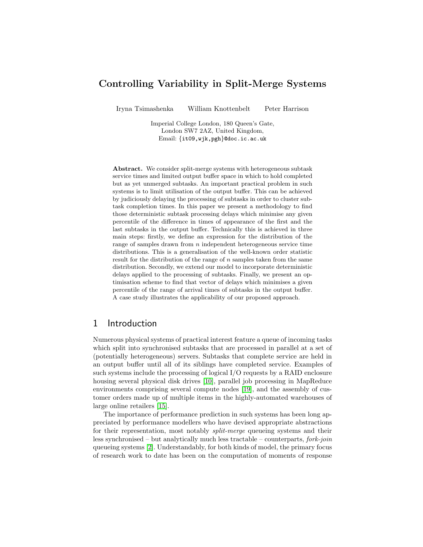# Controlling Variability in Split-Merge Systems

Iryna Tsimashenka William Knottenbelt Peter Harrison

Imperial College London, 180 Queen's Gate, London SW7 2AZ, United Kingdom, Email: {it09,wjk,pgh}@doc.ic.ac.uk

Abstract. We consider split-merge systems with heterogeneous subtask service times and limited output buffer space in which to hold completed but as yet unmerged subtasks. An important practical problem in such systems is to limit utilisation of the output buffer. This can be achieved by judiciously delaying the processing of subtasks in order to cluster subtask completion times. In this paper we present a methodology to find those deterministic subtask processing delays which minimise any given percentile of the difference in times of appearance of the first and the last subtasks in the output buffer. Technically this is achieved in three main steps: firstly, we define an expression for the distribution of the range of samples drawn from  $n$  independent heterogeneous service time distributions. This is a generalisation of the well-known order statistic result for the distribution of the range of  $n$  samples taken from the same distribution. Secondly, we extend our model to incorporate deterministic delays applied to the processing of subtasks. Finally, we present an optimisation scheme to find that vector of delays which minimises a given percentile of the range of arrival times of subtasks in the output buffer. A case study illustrates the applicability of our proposed approach.

## 1 Introduction

Numerous physical systems of practical interest feature a queue of incoming tasks which split into synchronised subtasks that are processed in parallel at a set of (potentially heterogeneous) servers. Subtasks that complete service are held in an output buffer until all of its siblings have completed service. Examples of such systems include the processing of logical I/O requests by a RAID enclosure housing several physical disk drives [\[10\]](#page-13-0), parallel job processing in MapReduce environments comprising several compute nodes [\[19\]](#page-13-1), and the assembly of customer orders made up of multiple items in the highly-automated warehouses of large online retailers [\[15\]](#page-13-2).

The importance of performance prediction in such systems has been long appreciated by performance modellers who have devised appropriate abstractions for their representation, most notably *split-merge* queueing systems and their less synchronised – but analytically much less tractable – counterparts,  $fork\text{-}join$ queueing systems [\[2\]](#page-13-3). Understandably, for both kinds of model, the primary focus of research work to date has been on the computation of moments of response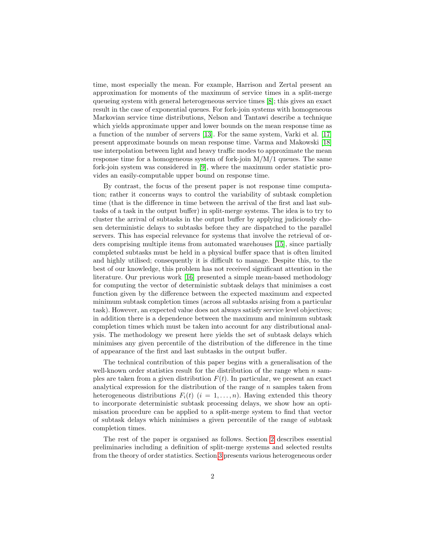time, most especially the mean. For example, Harrison and Zertal present an approximation for moments of the maximum of service times in a split-merge queueing system with general heterogeneous service times [\[8\]](#page-13-4); this gives an exact result in the case of exponential queues. For fork-join systems with homogeneous Markovian service time distributions, Nelson and Tantawi describe a technique which yields approximate upper and lower bounds on the mean response time as a function of the number of servers [\[13\]](#page-13-5). For the same system, Varki et al. [\[17\]](#page-13-6) present approximate bounds on mean response time. Varma and Makowski [\[18\]](#page-13-7) use interpolation between light and heavy traffic modes to approximate the mean response time for a homogeneous system of fork-join M/M/1 queues. The same fork-join system was considered in [\[9\]](#page-13-8), where the maximum order statistic provides an easily-computable upper bound on response time.

By contrast, the focus of the present paper is not response time computation; rather it concerns ways to control the variability of subtask completion time (that is the difference in time between the arrival of the first and last subtasks of a task in the output buffer) in split-merge systems. The idea is to try to cluster the arrival of subtasks in the output buffer by applying judiciously chosen deterministic delays to subtasks before they are dispatched to the parallel servers. This has especial relevance for systems that involve the retrieval of orders comprising multiple items from automated warehouses [\[15\]](#page-13-2), since partially completed subtasks must be held in a physical buffer space that is often limited and highly utilised; consequently it is difficult to manage. Despite this, to the best of our knowledge, this problem has not received significant attention in the literature. Our previous work [\[16\]](#page-13-9) presented a simple mean-based methodology for computing the vector of deterministic subtask delays that minimises a cost function given by the difference between the expected maximum and expected minimum subtask completion times (across all subtasks arising from a particular task). However, an expected value does not always satisfy service level objectives; in addition there is a dependence between the maximum and minimum subtask completion times which must be taken into account for any distributional analysis. The methodology we present here yields the set of subtask delays which minimises any given percentile of the distribution of the difference in the time of appearance of the first and last subtasks in the output buffer.

The technical contribution of this paper begins with a generalisation of the well-known order statistics result for the distribution of the range when  $n$  samples are taken from a given distribution  $F(t)$ . In particular, we present an exact analytical expression for the distribution of the range of  $n$  samples taken from heterogeneous distributions  $F_i(t)$   $(i = 1, \ldots, n)$ . Having extended this theory to incorporate deterministic subtask processing delays, we show how an optimisation procedure can be applied to a split-merge system to find that vector of subtask delays which minimises a given percentile of the range of subtask completion times.

The rest of the paper is organised as follows. Section [2](#page-2-0) describes essential preliminaries including a definition of split-merge systems and selected results from the theory of order statistics. Section [3](#page-5-0) presents various heterogeneous order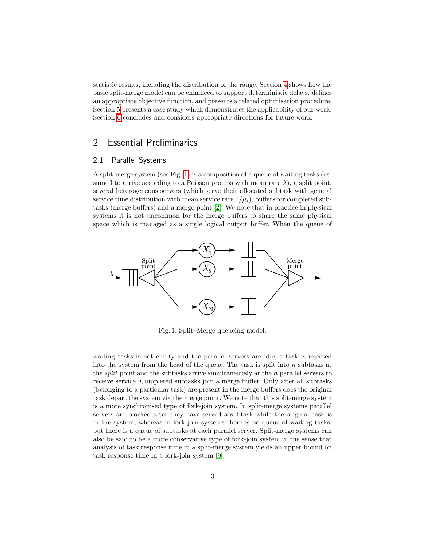statistic results, including the distribution of the range. Section [4](#page-7-0) shows how the basic split-merge model can be enhanced to support deterministic delays, defines an appropriate objective function, and presents a related optimisation procedure. Section [5](#page-9-0) presents a case study which demonstrates the applicability of our work. Section [6](#page-12-0) concludes and considers appropriate directions for future work.

# <span id="page-2-0"></span>2 Essential Preliminaries

### 2.1 Parallel Systems

A split-merge system (see Fig. [1\)](#page-2-1) is a composition of a queue of waiting tasks (assumed to arrive according to a Poisson process with mean rate  $\lambda$ ), a split point, several heterogeneous servers (which serve their allocated subtask with general service time distribution with mean service rate  $1/\mu_i$ , buffers for completed subtasks (merge buffers) and a merge point [\[2\]](#page-13-3). We note that in practice in physical systems it is not uncommon for the merge buffers to share the same physical space which is managed as a single logical output buffer. When the queue of

<span id="page-2-1"></span>

Fig. 1: Split–Merge queueing model.

waiting tasks is not empty and the parallel servers are idle, a task is injected into the system from the head of the queue. The task is split into n subtasks at the *split* point and the subtasks arrive simultaneously at the  $n$  parallel servers to receive service. Completed subtasks join a merge buffer. Only after all subtasks (belonging to a particular task) are present in the merge buffers does the original task depart the system via the merge point. We note that this split-merge system is a more synchronised type of fork-join system. In split-merge systems parallel servers are blocked after they have served a subtask while the original task is in the system, whereas in fork-join systems there is no queue of waiting tasks, but there is a queue of subtasks at each parallel server. Split-merge systems can also be said to be a more conservative type of fork-join system in the sense that analysis of task response time in a split-merge system yields an upper bound on task response time in a fork-join system [\[9\]](#page-13-8).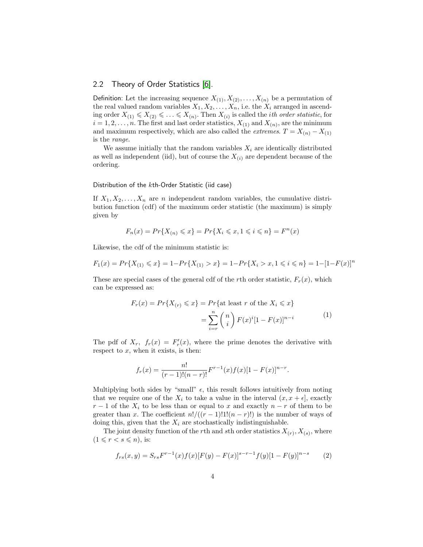### 2.2 Theory of Order Statistics [\[6\]](#page-13-10).

Definition: Let the increasing sequence  $X_{(1)}, X_{(2)}, \ldots, X_{(n)}$  be a permutation of the real valued random variables  $X_1, X_2, \ldots, X_n$ , i.e. the  $X_i$  arranged in ascending order  $X_{(1)} \leqslant X_{(2)} \leqslant \ldots \leqslant X_{(n)}$ . Then  $X_{(i)}$  is called the *ith order statistic*, for  $i = 1, 2, \ldots, n$ . The first and last order statistics,  $X_{(1)}$  and  $X_{(n)}$ , are the minimum and maximum respectively, which are also called the *extremes*.  $T = X_{(n)} - X_{(1)}$ is the range.

We assume initially that the random variables  $X_i$  are identically distributed as well as independent (iid), but of course the  $X_{(i)}$  are dependent because of the ordering.

Distribution of the kth-Order Statistic (iid case)

If  $X_1, X_2, \ldots, X_n$  are n independent random variables, the cumulative distribution function (cdf) of the maximum order statistic (the maximum) is simply given by

$$
F_n(x) = Pr\{X_{(n)} \le x\} = Pr\{X_i \le x, 1 \le i \le n\} = F^n(x)
$$

Likewise, the cdf of the minimum statistic is:

$$
F_1(x) = Pr\{X_{(1)} \le x\} = 1 - Pr\{X_{(1)} > x\} = 1 - Pr\{X_i > x, 1 \le i \le n\} = 1 - [1 - F(x)]^n
$$

These are special cases of the general cdf of the rth order statistic,  $F_r(x)$ , which can be expressed as:

<span id="page-3-1"></span>
$$
F_r(x) = Pr\{X_{(r)} \le x\} = Pr\{\text{at least } r \text{ of the } X_i \le x\}
$$

$$
= \sum_{i=r}^n \binom{n}{i} F(x)^i [1 - F(x)]^{n-i}
$$
(1)

The pdf of  $X_r$ ,  $f_r(x) = F'_r(x)$ , where the prime denotes the derivative with respect to  $x$ , when it exists, is then:

$$
f_r(x) = \frac{n!}{(r-1)!(n-r)!} F^{r-1}(x) f(x) [1 - F(x)]^{n-r}.
$$

Multiplying both sides by "small"  $\epsilon$ , this result follows intuitively from noting that we require one of the  $X_i$  to take a value in the interval  $(x, x + \epsilon]$ , exactly  $r-1$  of the  $X_i$  to be less than or equal to x and exactly  $n-r$  of them to be greater than x. The coefficient  $n!/((r-1)!1!(n-r)!)$  is the number of ways of doing this, given that the  $X_i$  are stochastically indistinguishable.

The joint density function of the rth and sth order statistics  $X_{(r)}$ ,  $X_{(s)}$ , where  $(1 \leq r < s \leq n)$ , is:

<span id="page-3-0"></span>
$$
f_{rs}(x,y) = S_{rs}F^{r-1}(x)f(x)[F(y) - F(x)]^{s-r-1}f(y)[1 - F(y)]^{n-s}
$$
 (2)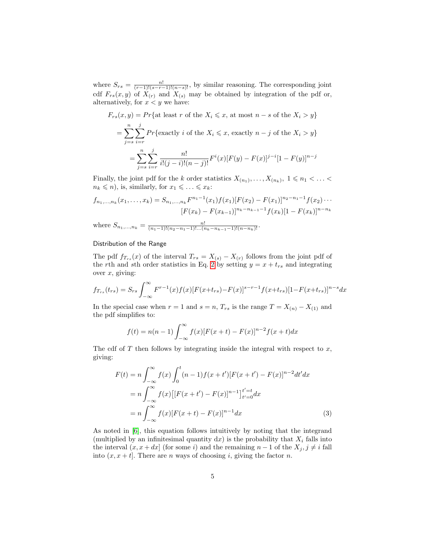where  $S_{rs} = \frac{n!}{(r-1)!(s-r-1)!(n-s)!}$ , by similar reasoning. The corresponding joint cdf  $F_{rs}(x, y)$  of  $X_{(r)}$  and  $X_{(s)}$  may be obtained by integration of the pdf or, alternatively, for  $x < y$  we have:

$$
F_{rs}(x, y) = Pr\{\text{at least } r \text{ of the } X_i \le x, \text{ at most } n - s \text{ of the } X_i > y\}
$$

$$
= \sum_{j=s}^{n} \sum_{i=r}^{j} Pr\{\text{exactly } i \text{ of the } X_i \le x, \text{ exactly } n - j \text{ of the } X_i > y\}
$$

$$
= \sum_{j=s}^{n} \sum_{i=r}^{j} \frac{n!}{i!(j-i)!(n-j)!} F^i(x)[F(y) - F(x)]^{j-i}[1 - F(y)]^{n-j}
$$

Finally, the joint pdf for the k order statistics  $X_{(n_1)}, \ldots, X_{(n_k)}$ ,  $1 \leq n_1 < \ldots <$  $n_k \leq n$ , is, similarly, for  $x_1 \leq \ldots \leq x_k$ :

$$
f_{n_1,\ldots,n_k}(x_1,\ldots,x_k) = S_{n_1,\ldots,n_k} F^{n_1-1}(x_1) f(x_1) [F(x_2) - F(x_1)]^{n_2-n_1-1} f(x_2) \cdots
$$
  

$$
[F(x_k) - F(x_{k-1})]^{n_k-n_{k-1}-1} f(x_k) [1 - F(x_k)]^{n-n_k}
$$

where  $S_{n_1,...,n_k} = \frac{n!}{(n_1-1)!(n_2-n_1-1)!(n_k-n_{k-1}-1)!(n-n_k)!}$ .

#### Distribution of the Range

The pdf  $f_{T_{rs}}(x)$  of the interval  $T_{rs} = X_{(s)} - X_{(r)}$  follows from the joint pdf of the rth and sth order statistics in Eq. [2](#page-3-0) by setting  $y = x + t_{rs}$  and integrating over  $x$ , giving:

$$
f_{T_{rs}}(t_{rs}) = S_{rs} \int_{-\infty}^{\infty} F^{r-1}(x) f(x) [F(x+t_{rs}) - F(x)]^{s-r-1} f(x+t_{rs}) [1 - F(x+t_{rs})]^{n-s} dx
$$

In the special case when  $r = 1$  and  $s = n$ ,  $T_{rs}$  is the range  $T = X_{(n)} - X_{(1)}$  and the pdf simplifies to:

$$
f(t) = n(n-1) \int_{-\infty}^{\infty} f(x)[F(x+t) - F(x)]^{n-2} f(x+t) dx
$$

The cdf of  $T$  then follows by integrating inside the integral with respect to  $x$ , giving:

<span id="page-4-0"></span>
$$
F(t) = n \int_{-\infty}^{\infty} f(x) \int_{0}^{t} (n-1)f(x+t') [F(x+t') - F(x)]^{n-2} dt' dx
$$
  
\n
$$
= n \int_{-\infty}^{\infty} f(x) [[F(x+t') - F(x)]^{n-1}]_{t'=0}^{t'=t} dx
$$
  
\n
$$
= n \int_{-\infty}^{\infty} f(x) [F(x+t) - F(x)]^{n-1} dx
$$
\n(3)

As noted in [\[6\]](#page-13-10), this equation follows intuitively by noting that the integrand (multiplied by an infinitesimal quantity  $dx$ ) is the probability that  $X_i$  falls into the interval  $(x, x + dx)$  (for some i) and the remaining  $n - 1$  of the  $X_j, j \neq i$  fall into  $(x, x + t]$ . There are *n* ways of choosing *i*, giving the factor *n*.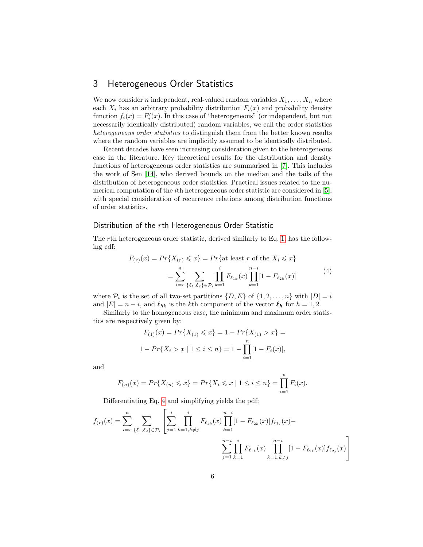## <span id="page-5-0"></span>3 Heterogeneous Order Statistics

We now consider n independent, real-valued random variables  $X_1, \ldots, X_n$  where each  $X_i$  has an arbitrary probability distribution  $F_i(x)$  and probability density function  $f_i(x) = F'_i(x)$ . In this case of "heterogeneous" (or independent, but not necessarily identically distributed) random variables, we call the order statistics heterogeneous order statistics to distinguish them from the better known results where the random variables are implicitly assumed to be identically distributed.

Recent decades have seen increasing consideration given to the heterogeneous case in the literature. Key theoretical results for the distribution and density functions of heterogeneous order statistics are summarised in [\[7\]](#page-13-11). This includes the work of Sen [\[14\]](#page-13-12), who derived bounds on the median and the tails of the distribution of heterogeneous order statistics. Practical issues related to the numerical computation of the ith heterogeneous order statistic are considered in [\[5\]](#page-13-13), with special consideration of recurrence relations among distribution functions of order statistics.

#### Distribution of the rth Heterogeneous Order Statistic

The rth heterogeneous order statistic, derived similarly to Eq. [1,](#page-3-1) has the following cdf:

<span id="page-5-1"></span>
$$
F_{(r)}(x) = Pr\{X_{(r)} \le x\} = Pr\{\text{at least } r \text{ of the } X_i \le x\}
$$

$$
= \sum_{i=r}^{n} \sum_{\{\ell_1,\ell_2\} \in \mathcal{P}_i} \prod_{k=1}^{i} F_{\ell_{1k}}(x) \prod_{k=1}^{n-i} [1 - F_{\ell_{2k}}(x)] \tag{4}
$$

 $\boldsymbol{n}$ 

where  $\mathcal{P}_i$  is the set of all two-set partitions  $\{D, E\}$  of  $\{1, 2, \ldots, n\}$  with  $|D| = i$ and  $|E| = n - i$ , and  $\ell_{hk}$  is the kth component of the vector  $\ell_h$  for  $h = 1, 2$ .

Similarly to the homogeneous case, the minimum and maximum order statistics are respectively given by:

$$
F_{(1)}(x) = Pr\{X_{(1)} \le x\} = 1 - Pr\{X_{(1)} > x\} =
$$
  

$$
1 - Pr\{X_i > x \mid 1 \le i \le n\} = 1 - \prod_{i=1}^{n} [1 - F_i(x)],
$$

and

$$
F_{(n)}(x) = Pr\{X_{(n)} \leq x\} = Pr\{X_i \leq x \mid 1 \leq i \leq n\} = \prod_{i=1}^{n} F_i(x).
$$

Differentiating Eq. [4](#page-5-1) and simplifying yields the pdf:

$$
f_{(r)}(x) = \sum_{i=r}^{n} \sum_{\{\ell_1,\ell_2\} \in \mathcal{P}_i} \left[ \sum_{j=1}^i \prod_{k=1,k \neq j}^i F_{\ell_{1k}}(x) \prod_{k=1}^{n-i} [1 - F_{\ell_{2k}}(x)] f_{\ell_{1j}}(x) - \sum_{j=1}^{n-i} \prod_{k=1}^i F_{\ell_{1k}}(x) \prod_{k=1,k \neq j}^{n-i} [1 - F_{\ell_{2k}}(x)] f_{\ell_{2j}}(x) \right]
$$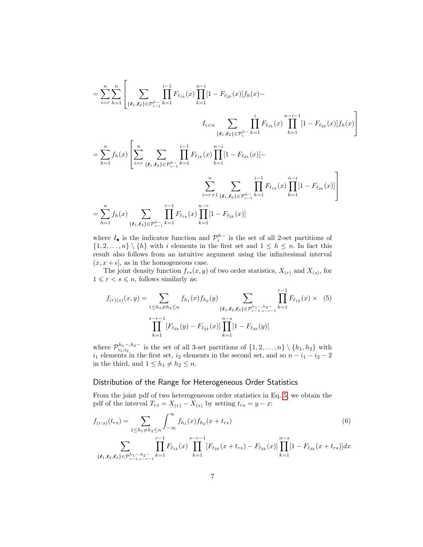$$
= \sum_{i=r}^{n} \sum_{h=1}^{n} \left[ \sum_{\{\ell_1,\ell_2\} \in \mathcal{P}_{i-1}^{h-1}} \prod_{k=1}^{i-1} F_{\ell_{1k}}(x) \prod_{k=1}^{n-i} [1 - F_{\ell_{2k}}(x)] f_h(x) - \right. \\ \left. \sum_{\{\ell_1,\ell_2\} \in \mathcal{P}_{i}^{h-1}} \prod_{k=1}^{i} F_{\ell_{1k}}(x) \prod_{k=1}^{i} [1 - F_{\ell_{2k}}(x)] f_h(x) \right. \\ \left. - \sum_{h=1}^{n} f_h(x) \left[ \sum_{i=r}^{n} \sum_{\{\ell_1,\ell_2\} \in \mathcal{P}_{i-1}^{h-1}} \prod_{k=1}^{i-1} F_{\ell_{1k}}(x) \prod_{k=1}^{n-i} [1 - F_{\ell_{2k}}(x)] - \right. \\ \left. \sum_{i=r+1}^{n} \sum_{\{\ell_1,\ell_2\} \in \mathcal{P}_{i-1}^{h-1}} \prod_{k=1}^{i} F_{\ell_{1k}}(x) \prod_{k=1}^{n-i} F_{\ell_{1k}}(x) \prod_{k=1}^{n-i} [1 - F_{\ell_{2k}}(x)] \right]
$$

$$
= \sum_{h=1}^{n} f_h(x) \sum_{\{\ell_1,\ell_2\} \in \mathcal{P}_{r-1}^{h-1}} \prod_{k=1}^{r-1} F_{\ell_{1k}}(x) \prod_{k=1}^{n-r} [1 - F_{\ell_{2k}}(x)]
$$

1  $\overline{1}$ 

where  $I_{\bullet}$  is the indicator function and  $\mathcal{P}_i^{h-}$  is the set of all 2-set partitions of  $\{1, 2, \ldots, n\} \setminus \{h\}$  with i elements in the first set and  $1 \leq h \leq n$ . In fact this result also follows from an intuitive argument using the infinitesimal interval  $(x, x + \epsilon]$ , as in the homogeneous case.

The joint density function  $f_{rs}(x, y)$  of two order statistics,  $X_{(r)}$  and  $X_{(s)}$ , for  $1\leqslant r < s \leqslant n,$  follows similarly as:

<span id="page-6-0"></span>
$$
f_{(r)(s)}(x,y) = \sum_{\substack{1 \le h_1 \ne h_2 \le n}} f_{h_1}(x) f_{h_2}(y) \sum_{\substack{\{\ell_1, \ell_2, \ell_3\} \in \mathcal{P}_{r-1, s-r-1}^{h_1-, h_2-}}}\prod_{k=1}^{r-1} F_{\ell_{1k}}(x) \times (5)
$$
  

$$
\prod_{k=1}^{s-r-1} [F_{\ell_{2k}}(y) - F_{\ell_{2k}}(x)] \prod_{k=1}^{n-s} [1 - F_{\ell_{3k}}(y)]
$$

where  $\mathcal{P}_{i_1,i_2}^{h_1-,h_2-}$  is the set of all 3-set partitions of  $\{1,2,\ldots,n\} \setminus \{h_1,h_2\}$  with  $i_1$  elements in the first set,  $i_2$  elements in the second set, and so  $n - i_1 - i_2 - 2$ in the third, and  $1 \leq h_1 \neq h_2 \leq n$ .

### Distribution of the Range for Heterogeneous Order Statistics

From the joint pdf of two heterogeneous order statistics in Eq. [5,](#page-6-0) we obtain the pdf of the interval  $T_{rs} = X_{(r)} - X_{(s)}$  by setting  $t_{rs} = y - x$ :

$$
f_{(r:s)}(t_{rs}) = \sum_{1 \le h_1 \ne h_2 \le n} \int_{-\infty}^{\infty} f_{h_1}(x) f_{h_2}(x + t_{rs})
$$
(6)  

$$
\sum_{\{\ell_1, \ell_2, \ell_3\} \in \mathcal{P}_{r-1, s-r-1}^{h_1-h_2} } \prod_{k=1}^{r-1} F_{\ell_{1k}}(x) \prod_{k=1}^{s-r-1} \left[ F_{\ell_{2k}}(x + t_{rs}) - F_{\ell_{2k}}(x) \right] \prod_{k=1}^{n-s} \left[ 1 - F_{\ell_{3k}}(x + t_{rs}) \right] dx
$$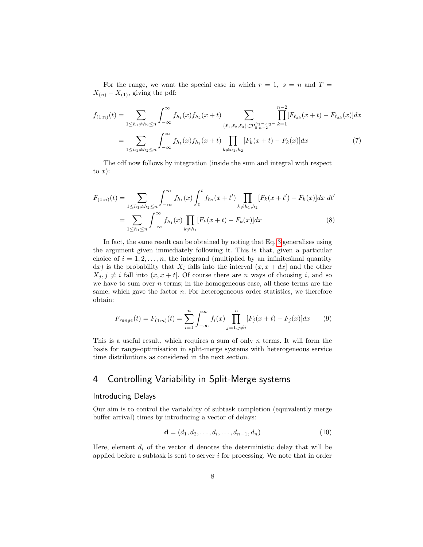For the range, we want the special case in which  $r = 1$ ,  $s = n$  and  $T =$  $X_{(n)} - X_{(1)}$ , giving the pdf:

$$
f_{(1:n)}(t) = \sum_{1 \le h_1 \ne h_2 \le n} \int_{-\infty}^{\infty} f_{h_1}(x) f_{h_2}(x+t) \sum_{\{\ell_1, \ell_2, \ell_3\} \in \mathcal{P}_{0,n-2}^{h_1, \ldots, h_2 - k} = 1} \prod_{k=1}^{n-2} [F_{\ell_{2k}}(x+t) - F_{\ell_{2k}}(x)] dx
$$
  
= 
$$
\sum_{1 \le h_1 \ne h_2 \le n} \int_{-\infty}^{\infty} f_{h_1}(x) f_{h_2}(x+t) \prod_{k \ne h_1, h_2} [F_k(x+t) - F_k(x)] dx
$$
(7)

The cdf now follows by integration (inside the sum and integral with respect to  $x)$ :

$$
F_{(1:n)}(t) = \sum_{1 \le h_1 \ne h_2 \le n} \int_{-\infty}^{\infty} f_{h_1}(x) \int_0^t f_{h_2}(x + t') \prod_{k \ne h_1, h_2} [F_k(x + t') - F_k(x)] dx dt'
$$
  
= 
$$
\sum_{1 \le h_1 \le n} \int_{-\infty}^{\infty} f_{h_1}(x) \prod_{k \ne h_1} [F_k(x + t) - F_k(x)] dx
$$
(8)

In fact, the same result can be obtained by noting that Eq. [3](#page-4-0) generalises using the argument given immediately following it. This is that, given a particular choice of  $i = 1, 2, \ldots, n$ , the integrand (multiplied by an infinitesimal quantity  $dx$ ) is the probability that  $X_i$  falls into the interval  $(x, x + dx)$  and the other  $X_i, j \neq i$  fall into  $(x, x + t]$ . Of course there are n ways of choosing i, and so we have to sum over  $n$  terms; in the homogeneous case, all these terms are the same, which gave the factor  $n$ . For heterogeneous order statistics, we therefore obtain:

<span id="page-7-2"></span>
$$
F_{range}(t) = F_{(1:n)}(t) = \sum_{i=1}^{n} \int_{-\infty}^{\infty} f_i(x) \prod_{j=1, j \neq i}^{n} [F_j(x+t) - F_j(x)] dx \qquad (9)
$$

This is a useful result, which requires a sum of only  $n$  terms. It will form the basis for range-optimisation in split-merge systems with heterogeneous service time distributions as considered in the next section.

## <span id="page-7-0"></span>4 Controlling Variability in Split-Merge systems

### Introducing Delays

Our aim is to control the variability of subtask completion (equivalently merge buffer arrival) times by introducing a vector of delays:

<span id="page-7-1"></span>
$$
\mathbf{d} = (d_1, d_2, \dots, d_i, \dots, d_{n-1}, d_n) \tag{10}
$$

Here, element  $d_i$  of the vector **d** denotes the deterministic delay that will be applied before a subtask is sent to server i for processing. We note that in order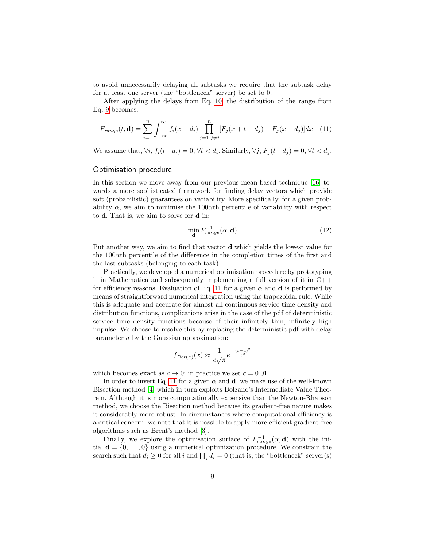to avoid unnecessarily delaying all subtasks we require that the subtask delay for at least one server (the "bottleneck" server) be set to 0.

After applying the delays from Eq. [10,](#page-7-1) the distribution of the range from Eq. [9](#page-7-2) becomes:

<span id="page-8-0"></span>
$$
F_{range}(t, \mathbf{d}) = \sum_{i=1}^{n} \int_{-\infty}^{\infty} f_i(x - d_i) \prod_{j=1, j \neq i}^{n} [F_j(x + t - d_j) - F_j(x - d_j)] dx \quad (11)
$$

We assume that,  $\forall i, f_i(t - d_i) = 0, \forall t < d_i$ . Similarly,  $\forall j, F_j(t - d_j) = 0, \forall t < d_j$ .

#### Optimisation procedure

In this section we move away from our previous mean-based technique [\[16\]](#page-13-9) towards a more sophisticated framework for finding delay vectors which provide soft (probabilistic) guarantees on variability. More specifically, for a given probability  $\alpha$ , we aim to minimise the 100 $\alpha$ <sup>th</sup> percentile of variability with respect to d. That is, we aim to solve for d in:

<span id="page-8-1"></span>
$$
\min_{\mathbf{d}} F_{range}^{-1}(\alpha, \mathbf{d}) \tag{12}
$$

Put another way, we aim to find that vector d which yields the lowest value for the 100αth percentile of the difference in the completion times of the first and the last subtasks (belonging to each task).

Practically, we developed a numerical optimisation procedure by prototyping it in Mathematica and subsequently implementing a full version of it in C++ for efficiency reasons. Evaluation of Eq. [11](#page-8-0) for a given  $\alpha$  and **d** is performed by means of straightforward numerical integration using the trapezoidal rule. While this is adequate and accurate for almost all continuous service time density and distribution functions, complications arise in the case of the pdf of deterministic service time density functions because of their infinitely thin, infinitely high impulse. We choose to resolve this by replacing the deterministic pdf with delay parameter a by the Gaussian approximation:

$$
f_{Det(a)}(x) \approx \frac{1}{c\sqrt{\pi}}e^{-\frac{(x-a)^2}{c^2}}
$$

which becomes exact as  $c \to 0$ ; in practice we set  $c = 0.01$ .

In order to invert Eq. [11](#page-8-0) for a given  $\alpha$  and **d**, we make use of the well-known Bisection method [\[4\]](#page-13-14) which in turn exploits Bolzano's Intermediate Value Theorem. Although it is more computationally expensive than the Newton-Rhapson method, we choose the Bisection method because its gradient-free nature makes it considerably more robust. In circumstances where computational efficiency is a critical concern, we note that it is possible to apply more efficient gradient-free algorithms such as Brent's method [\[3\]](#page-13-15).

Finally, we explore the optimisation surface of  $F_{range}^{-1}(\alpha, \mathbf{d})$  with the initial  $\mathbf{d} = \{0, \ldots, 0\}$  using a numerical optimization procedure. We constrain the search such that  $d_i \geq 0$  for all i and  $\prod_i d_i = 0$  (that is, the "bottleneck" server(s)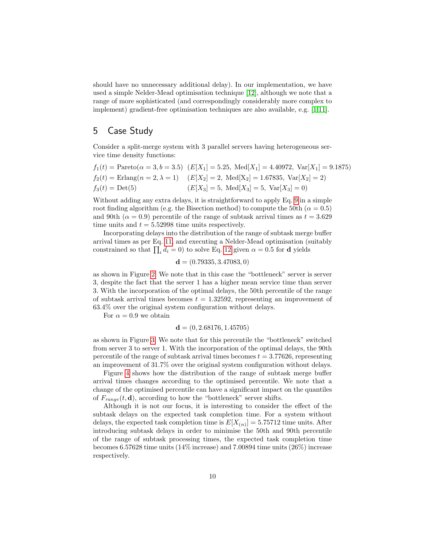should have no unnecessary additional delay). In our implementation, we have used a simple Nelder-Mead optimisation technique [\[12\]](#page-13-16), although we note that a range of more sophisticated (and correspondingly considerably more complex to implement) gradient-free optimisation techniques are also available, e.g. [\[1,](#page-13-17)[11\]](#page-13-18).

## <span id="page-9-0"></span>5 Case Study

Consider a split-merge system with 3 parallel servers having heterogeneous service time density functions:

|                   | $f_1(t) = \text{Pareto}(\alpha = 3, b = 3.5)$ $(E[X_1] = 5.25, \text{Med}[X_1] = 4.40972, \text{Var}[X_1] = 9.1875)$ |
|-------------------|----------------------------------------------------------------------------------------------------------------------|
|                   | $f_2(t) =$ Erlang $(n = 2, \lambda = 1)$ $(E[X_2] = 2, \text{Med}[X_2] = 1.67835, \text{Var}[X_2] = 2)$              |
| $f_3(t) = Det(5)$ | $(E[X_3] = 5, Med[X_3] = 5, Var[X_3] = 0)$                                                                           |

Without adding any extra delays, it is straightforward to apply Eq. [9](#page-7-2) in a simple root finding algorithm (e.g. the Bisection method) to compute the 50th ( $\alpha = 0.5$ ) and 90th ( $\alpha = 0.9$ ) percentile of the range of subtask arrival times as  $t = 3.629$ time units and  $t = 5.52998$  time units respectively.

Incorporating delays into the distribution of the range of subtask merge buffer arrival times as per Eq. [11,](#page-8-0) and executing a Nelder-Mead optimisation (suitably constrained so that  $\prod_i d_i = 0$ ) to solve Eq. [12](#page-8-1) given  $\alpha = 0.5$  for **d** yields

$$
\mathbf{d} = (0.79335, 3.47083, 0)
$$

as shown in Figure [2.](#page-10-0) We note that in this case the "bottleneck" server is server 3, despite the fact that the server 1 has a higher mean service time than server 3. With the incorporation of the optimal delays, the 50th percentile of the range of subtask arrival times becomes  $t = 1.32592$ , representing an improvement of 63.4% over the original system configuration without delays.

For  $\alpha = 0.9$  we obtain

$$
\mathbf{d} = (0, 2.68176, 1.45705)
$$

as shown in Figure [3.](#page-10-1) We note that for this percentile the "bottleneck" switched from server 3 to server 1. With the incorporation of the optimal delays, the 90th percentile of the range of subtask arrival times becomes  $t = 3.77626$ , representing an improvement of 31.7% over the original system configuration without delays.

Figure [4](#page-11-0) shows how the distribution of the range of subtask merge buffer arrival times changes according to the optimised percentile. We note that a change of the optimised percentile can have a significant impact on the quantiles of  $F_{range}(t, d)$ , according to how the "bottleneck" server shifts.

Although it is not our focus, it is interesting to consider the effect of the subtask delays on the expected task completion time. For a system without delays, the expected task completion time is  $E[X_{(n)}] = 5.75712$  time units. After introducing subtask delays in order to minimise the 50th and 90th percentile of the range of subtask processing times, the expected task completion time becomes 6.57628 time units (14% increase) and 7.00894 time units (26%) increase respectively.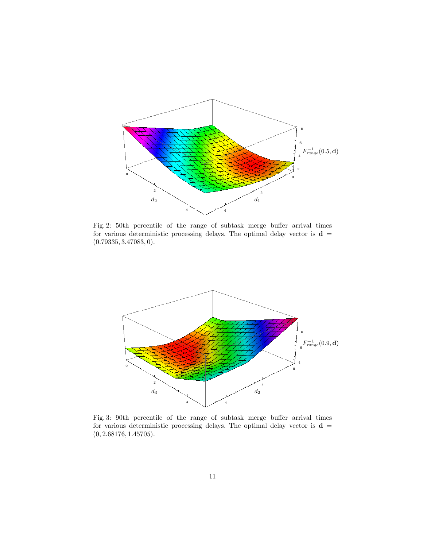<span id="page-10-0"></span>

Fig. 2: 50th percentile of the range of subtask merge buffer arrival times for various deterministic processing delays. The optimal delay vector is  $d =$  $(0.79335, 3.47083, 0).$ 

<span id="page-10-1"></span>

Fig. 3: 90th percentile of the range of subtask merge buffer arrival times for various deterministic processing delays. The optimal delay vector is  $\mathbf{d} =$ (0, 2.68176, 1.45705).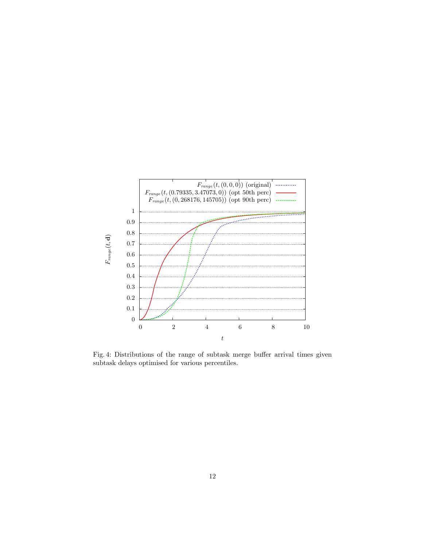<span id="page-11-0"></span>

Fig. 4: Distributions of the range of subtask merge buffer arrival times given subtask delays optimised for various percentiles.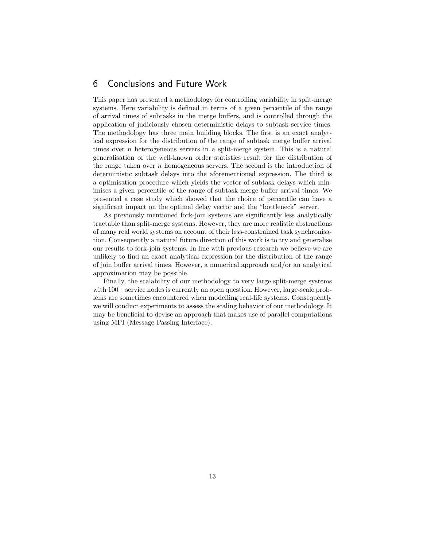# <span id="page-12-0"></span>6 Conclusions and Future Work

This paper has presented a methodology for controlling variability in split-merge systems. Here variability is defined in terms of a given percentile of the range of arrival times of subtasks in the merge buffers, and is controlled through the application of judiciously chosen deterministic delays to subtask service times. The methodology has three main building blocks. The first is an exact analytical expression for the distribution of the range of subtask merge buffer arrival times over *n* heterogeneous servers in a split-merge system. This is a natural generalisation of the well-known order statistics result for the distribution of the range taken over  $n$  homogeneous servers. The second is the introduction of deterministic subtask delays into the aforementioned expression. The third is a optimisation procedure which yields the vector of subtask delays which minimises a given percentile of the range of subtask merge buffer arrival times. We presented a case study which showed that the choice of percentile can have a significant impact on the optimal delay vector and the "bottleneck" server.

As previously mentioned fork-join systems are significantly less analytically tractable than split-merge systems. However, they are more realistic abstractions of many real world systems on account of their less-constrained task synchronisation. Consequently a natural future direction of this work is to try and generalise our results to fork-join systems. In line with previous research we believe we are unlikely to find an exact analytical expression for the distribution of the range of join buffer arrival times. However, a numerical approach and/or an analytical approximation may be possible.

Finally, the scalability of our methodology to very large split-merge systems with  $100+$  service nodes is currently an open question. However, large-scale problems are sometimes encountered when modelling real-life systems. Consequently we will conduct experiments to assess the scaling behavior of our methodology. It may be beneficial to devise an approach that makes use of parallel computations using MPI (Message Passing Interface).